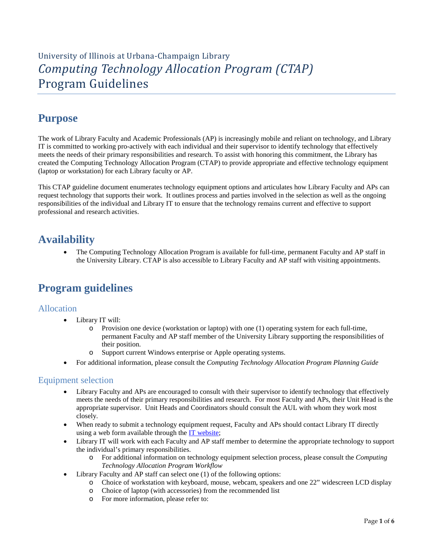# University of Illinois at Urbana-Champaign Library *Computing Technology Allocation Program (CTAP)* Program Guidelines

# **Purpose**

The work of Library Faculty and Academic Professionals (AP) is increasingly mobile and reliant on technology, and Library IT is committed to working pro-actively with each individual and their supervisor to identify technology that effectively meets the needs of their primary responsibilities and research. To assist with honoring this commitment, the Library has created the Computing Technology Allocation Program (CTAP) to provide appropriate and effective technology equipment (laptop or workstation) for each Library faculty or AP.

This CTAP guideline document enumerates technology equipment options and articulates how Library Faculty and APs can request technology that supports their work. It outlines process and parties involved in the selection as well as the ongoing responsibilities of the individual and Library IT to ensure that the technology remains current and effective to support professional and research activities.

# **Availability**

• The Computing Technology Allocation Program is available for full-time, permanent Faculty and AP staff in the University Library. CTAP is also accessible to Library Faculty and AP staff with visiting appointments.

# **Program guidelines**

## Allocation

- Library IT will:
	- o Provision one device (workstation or laptop) with one (1) operating system for each full-time, permanent Faculty and AP staff member of the University Library supporting the responsibilities of their position.
	- Support current Windows enterprise or Apple operating systems.
- For additional information, please consult the *Computing Technology Allocation Program Planning Guide*

## Equipment selection

- Library Faculty and APs are encouraged to consult with their supervisor to identify technology that effectively meets the needs of their primary responsibilities and research. For most Faculty and APs, their Unit Head is the appropriate supervisor. Unit Heads and Coordinators should consult the AUL with whom they work most closely.
- When ready to submit a technology equipment request, Faculty and APs should contact Library IT directly using a web form available through the [IT website;](https://www.library.illinois.edu/staff/it/equipment/ctap/)
- Library IT will work with each Faculty and AP staff member to determine the appropriate technology to support the individual's primary responsibilities.
	- o For additional information on technology equipment selection process, please consult the *Computing Technology Allocation Program Workflow*
- Library Faculty and AP staff can select one (1) of the following options:
	- o Choice of workstation with keyboard, mouse, webcam, speakers and one 22" widescreen LCD display
	- o Choice of laptop (with accessories) from the recommended list
	- o For more information, please refer to: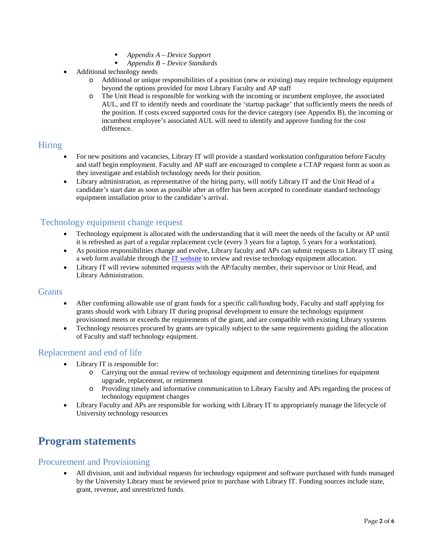- *Appendix A – Device Support*
- *Appendix B – Device Standards*
- Additional technology needs
	- o Additional or unique responsibilities of a position (new or existing) may require technology equipment beyond the options provided for most Library Faculty and AP staff
	- o The Unit Head is responsible for working with the incoming or incumbent employee, the associated AUL, and IT to identify needs and coordinate the 'startup package' that sufficiently meets the needs of the position. If costs exceed supported costs for the device category (see Appendix B), the incoming or incumbent employee's associated AUL will need to identify and approve funding for the cost difference.

## Hiring

- For new positions and vacancies, Library IT will provide a standard workstation configuration before Faculty and staff begin employment. Faculty and AP staff are encouraged to complete a CTAP request form as soon as they investigate and establish technology needs for their position.
- Library administration, as representative of the hiring party, will notify Library IT and the Unit Head of a candidate's start date as soon as possible after an offer has been accepted to coordinate standard technology equipment installation prior to the candidate's arrival.

## Technology equipment change request

- Technology equipment is allocated with the understanding that it will meet the needs of the faculty or AP until it is refreshed as part of a regular replacement cycle (every 3 years for a laptop, 5 years for a workstation).
- As position responsibilities change and evolve, Library faculty and APs can submit requests to Library IT using a web form available through the [IT website](https://www.library.illinois.edu/staff/it/equipment/ctap/) to review and revise technology equipment allocation.
- Library IT will review submitted requests with the AP/faculty member, their supervisor or Unit Head, and Library Administration.

### **Grants**

- After confirming allowable use of grant funds for a specific call/funding body, Faculty and staff applying for grants should work with Library IT during proposal development to ensure the technology equipment provisioned meets or exceeds the requirements of the grant, and are compatible with existing Library systems
- Technology resources procured by grants are typically subject to the same requirements guiding the allocation of Faculty and staff technology equipment.

## Replacement and end of life

- Library IT is responsible for:
	- o Carrying out the annual review of technology equipment and determining timelines for equipment upgrade, replacement, or retirement
	- o Providing timely and informative communication to Library Faculty and APs regarding the process of technology equipment changes
- Library Faculty and APs are responsible for working with Library IT to appropriately manage the lifecycle of University technology resources

# **Program statements**

## Procurement and Provisioning

• All division, unit and individual requests for technology equipment and software purchased with funds managed by the University Library must be reviewed prior to purchase with Library IT. Funding sources include state, grant, revenue, and unrestricted funds.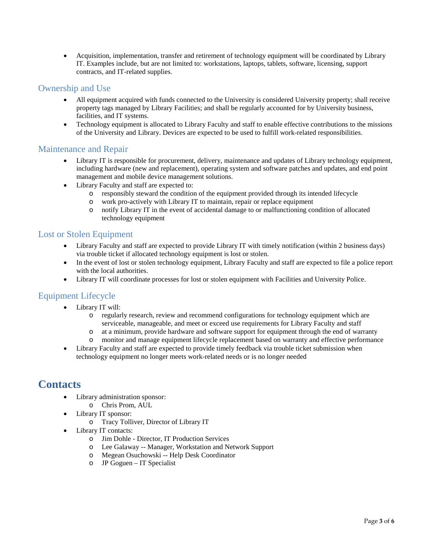• Acquisition, implementation, transfer and retirement of technology equipment will be coordinated by Library IT. Examples include, but are not limited to: workstations, laptops, tablets, software, licensing, support contracts, and IT-related supplies.

## Ownership and Use

- All equipment acquired with funds connected to the University is considered University property; shall receive property tags managed by Library Facilities; and shall be regularly accounted for by University business, facilities, and IT systems.
- Technology equipment is allocated to Library Faculty and staff to enable effective contributions to the missions of the University and Library. Devices are expected to be used to fulfill work-related responsibilities.

### Maintenance and Repair

- Library IT is responsible for procurement, delivery, maintenance and updates of Library technology equipment, including hardware (new and replacement), operating system and software patches and updates, and end point management and mobile device management solutions.
- Library Faculty and staff are expected to:
	- $\circ$  responsibly steward the condition of the equipment provided through its intended lifecycle  $\circ$  work pro-actively with Library IT to maintain, repair or replace equipment
	- o work pro-actively with Library IT to maintain, repair or replace equipment
	- o notify Library IT in the event of accidental damage to or malfunctioning condition of allocated technology equipment

## Lost or Stolen Equipment

- Library Faculty and staff are expected to provide Library IT with timely notification (within 2 business days) via trouble ticket if allocated technology equipment is lost or stolen.
- In the event of lost or stolen technology equipment, Library Faculty and staff are expected to file a police report with the local authorities.
- Library IT will coordinate processes for lost or stolen equipment with Facilities and University Police.

## Equipment Lifecycle

- Library IT will:
	- o regularly research, review and recommend configurations for technology equipment which are serviceable, manageable, and meet or exceed use requirements for Library Faculty and staff
	- o at a minimum, provide hardware and software support for equipment through the end of warranty
	- monitor and manage equipment lifecycle replacement based on warranty and effective performance
- Library Faculty and staff are expected to provide timely feedback via trouble ticket submission when technology equipment no longer meets work-related needs or is no longer needed

# **Contacts**

- Library administration sponsor:
	- o Chris Prom, AUL
- Library IT sponsor:
	- o Tracy Tolliver, Director of Library IT
- Library IT contacts:
	- o Jim Dohle Director, IT Production Services
	- o Lee Galaway -- Manager, Workstation and Network Support
	- o Megean Osuchowski -- Help Desk Coordinator
	- o JP Goguen IT Specialist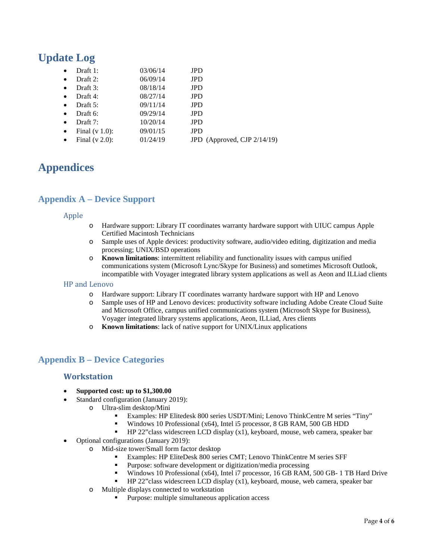# **Update Log**

| $\bullet$ | Draft $1$ :       | 03/06/14 | <b>JPD</b>                  |
|-----------|-------------------|----------|-----------------------------|
| $\bullet$ | Draft 2:          | 06/09/14 | <b>JPD</b>                  |
| $\bullet$ | Draft 3:          | 08/18/14 | <b>JPD</b>                  |
| $\bullet$ | Draft 4:          | 08/27/14 | <b>JPD</b>                  |
| $\bullet$ | Draft $5$ :       | 09/11/14 | <b>JPD</b>                  |
| $\bullet$ | Draft 6:          | 09/29/14 | <b>JPD</b>                  |
| $\bullet$ | Draft 7:          | 10/20/14 | <b>JPD</b>                  |
| $\bullet$ | Final $(v 1.0)$ : | 09/01/15 | <b>JPD</b>                  |
| $\bullet$ | Final $(v 2.0)$ : | 01/24/19 | JPD (Approved, CJP 2/14/19) |

# **Appendices**

## **Appendix A – Device Support**

#### Apple

- o Hardware support: Library IT coordinates warranty hardware support with UIUC campus Apple Certified Macintosh Technicians
- o Sample uses of Apple devices: productivity software, audio/video editing, digitization and media processing; UNIX/BSD operations
- o **Known limitations**: intermittent reliability and functionality issues with campus unified communications system (Microsoft Lync/Skype for Business) and sometimes Microsoft Outlook, incompatible with Voyager integrated library system applications as well as Aeon and ILLiad clients

#### HP and Lenovo

- o Hardware support: Library IT coordinates warranty hardware support with HP and Lenovo
- Sample uses of HP and Lenovo devices: productivity software including Adobe Create Cloud Suite and Microsoft Office, campus unified communications system (Microsoft Skype for Business), Voyager integrated library systems applications, Aeon, ILLiad, Ares clients
- o **Known limitations**: lack of native support for UNIX/Linux applications

## **Appendix B – Device Categories**

### **Workstation**

- **Supported cost: up to \$1,300.00**
- Standard configuration (January 2019):
	- o Ultra-slim desktop/Mini
		- Examples: HP Elitedesk 800 series USDT/Mini; Lenovo ThinkCentre M series "Tiny"
		- Windows 10 Professional (x64), Intel i5 processor, 8 GB RAM, 500 GB HDD
		- HP 22"class widescreen LCD display (x1), keyboard, mouse, web camera, speaker bar
- Optional configurations (January 2019):
	- o Mid-size tower/Small form factor desktop
		- Examples: HP EliteDesk 800 series CMT; Lenovo ThinkCentre M series SFF
		- Purpose: software development or digitization/media processing
		- Windows 10 Professional (x64), Intel i7 processor, 16 GB RAM, 500 GB- 1 TB Hard Drive
		- HP 22"class widescreen LCD display (x1), keyboard, mouse, web camera, speaker bar
	- o Multiple displays connected to workstation
		- Purpose: multiple simultaneous application access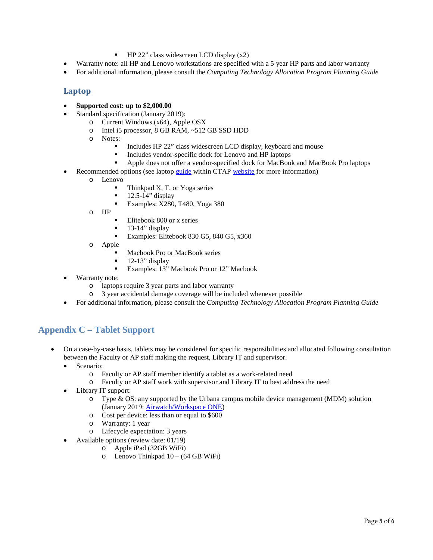- $\blacksquare$  HP 22" class widescreen LCD display (x2)
- Warranty note: all HP and Lenovo workstations are specified with a 5 year HP parts and labor warranty
- For additional information, please consult the *Computing Technology Allocation Program Planning Guide*

### **Laptop**

- **Supported cost: up to \$2,000.00**
- Standard specification (January 2019):
	- o Current Windows (x64), Apple OSX<br>
	o Intel i5 processor, 8 GB RAM, ~512
		- o Intel i5 processor, 8 GB RAM, ~512 GB SSD HDD<br>
		o Notes:
	- Notes:
		- Includes HP 22" class widescreen LCD display, keyboard and mouse
		- Includes vendor-specific dock for Lenovo and HP laptops
		- Apple does not offer a vendor-specified dock for MacBook and MacBook Pro laptops
- Recommended options (see lapto[p guide](https://www.library.illinois.edu/staff/wp-content/uploads/sites/24/2017/07/TAP_LaptopGuide_2018.pdf) within CTAP [website](https://www.library.illinois.edu/staff/it/equipment/ctap/) for more information)
	- o Lenovo
		- Thinkpad X, T, or Yoga series
		- $\blacksquare$  12.5-14" display
		- Examples: X280, T480, Yoga 380
	- o HP
- Elitebook 800 or x series
- 13-14" display
- Examples: Elitebook 830 G5, 840 G5, x360
- o Apple
	- Macbook Pro or MacBook series
	- 12-13" display
	- Examples: 13" Macbook Pro or 12" Macbook
- Warranty note:
	- o laptops require 3 year parts and labor warranty
	- o 3 year accidental damage coverage will be included whenever possible
- For additional information, please consult the *Computing Technology Allocation Program Planning Guide*

## **Appendix C – Tablet Support**

- On a case-by-case basis, tablets may be considered for specific responsibilities and allocated following consultation between the Faculty or AP staff making the request, Library IT and supervisor.
	- Scenario:
		- o Faculty or AP staff member identify a tablet as a work-related need
		- o Faculty or AP staff work with supervisor and Library IT to best address the need
	- Library IT support:
		- o Type & OS: any supported by the Urbana campus mobile device management (MDM) solution (January 2019: [Airwatch/Workspace ONE\)](https://techservices.illinois.edu/services/workspace-one-airwatch/details)
		- o Cost per device: less than or equal to \$600
		- o Warranty: 1 year
		- o Lifecycle expectation: 3 years
	- Available options (review date: 01/19)
		- o Apple iPad (32GB WiFi)
		- o Lenovo Thinkpad 10 (64 GB WiFi)